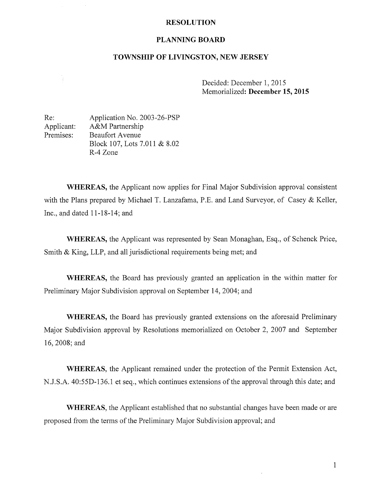## RESOLUTION

## PLANNING BOARD

## TOWNSHIP OF LIVINGSTON, NEW JERSEY

Decided: December 1, 2015 Memorialized: December 15, 2015

Re: Application No. 2003-26-PSP Applicant: A&M Partnership Premises: Beaufort Avenue Block 107, Lots 7.011 & 8.02 R-4 Zone

l.

WHEREAS, the Applicant now applies for Final Major Subdivision approval consistent with the Plans prepared by Michael T. Lanzafama, P.E. and Land Surveyor, of Casey & Keller, Inc., and dated 11-18-14; and

WHEREAS, the Applicant was represented by Sean Monaghan, Esq., of Schenck Price, Smith & King, LLP, and all jurisdictional requirements being met; and

WHEREAS, the Board has previously granted an application in the within matter for Preliminary Major Subdivision approval on September 14, 2004; and

WHEREAS, the Board has previously granted extensions on the aforesaid Preliminary Major Subdivision approval by Resolutions memorialized on October 2, 2007 and September 16, 2008; and

WHEREAS, the Applicant remained under the protection of the Permit Extension Act, N.J.S.A. 40:55D-136.1 et seq., which continues extensions of the approval through this date; and

WHEREAS, the Applicant established that no substantial changes have been made or are proposed from the terms of the Preliminary Major Subdivision approval; and

1